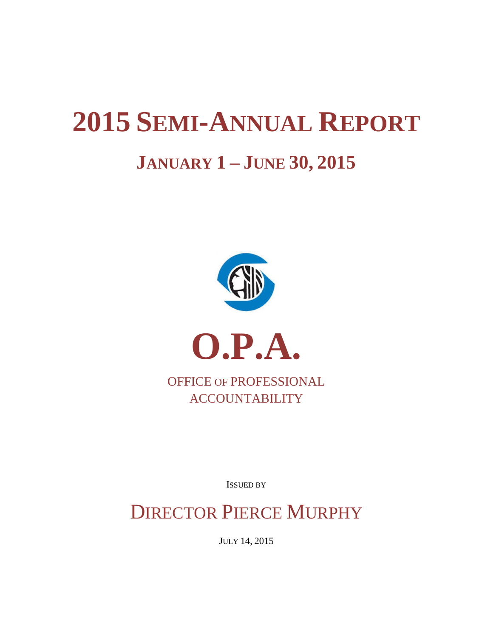# **2015 SEMI-ANNUAL REPORT JANUARY 1 – JUNE 30, 2015**



**ACCOUNTABILITY** 

ISSUED BY

DIRECTOR PIERCE MURPHY

JULY 14, 2015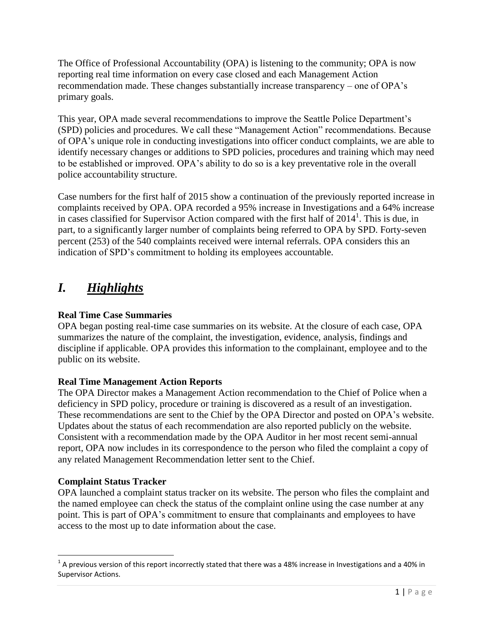The Office of Professional Accountability (OPA) is listening to the community; OPA is now reporting real time information on every case closed and each Management Action recommendation made. These changes substantially increase transparency – one of OPA's primary goals.

This year, OPA made several recommendations to improve the Seattle Police Department's (SPD) policies and procedures. We call these "Management Action" recommendations. Because of OPA's unique role in conducting investigations into officer conduct complaints, we are able to identify necessary changes or additions to SPD policies, procedures and training which may need to be established or improved. OPA's ability to do so is a key preventative role in the overall police accountability structure.

Case numbers for the first half of 2015 show a continuation of the previously reported increase in complaints received by OPA. OPA recorded a 95% increase in Investigations and a 64% increase in cases classified for Supervisor Action compared with the first half of  $2014<sup>1</sup>$ . This is due, in part, to a significantly larger number of complaints being referred to OPA by SPD. Forty-seven percent (253) of the 540 complaints received were internal referrals. OPA considers this an indication of SPD's commitment to holding its employees accountable.

# *I. Highlights*

# **Real Time Case Summaries**

OPA began posting real-time case summaries on its website. At the closure of each case, OPA summarizes the nature of the complaint, the investigation, evidence, analysis, findings and discipline if applicable. OPA provides this information to the complainant, employee and to the public on its website.

# **Real Time Management Action Reports**

The OPA Director makes a Management Action recommendation to the Chief of Police when a deficiency in SPD policy, procedure or training is discovered as a result of an investigation. These recommendations are sent to the Chief by the OPA Director and posted on OPA's website. Updates about the status of each recommendation are also reported publicly on the website. Consistent with a recommendation made by the OPA Auditor in her most recent semi-annual report, OPA now includes in its correspondence to the person who filed the complaint a copy of any related Management Recommendation letter sent to the Chief.

# **Complaint Status Tracker**

OPA launched a complaint status tracker on its website. The person who files the complaint and the named employee can check the status of the complaint online using the case number at any point. This is part of OPA's commitment to ensure that complainants and employees to have access to the most up to date information about the case.

l  $^1$  A previous version of this report incorrectly stated that there was a 48% increase in Investigations and a 40% in Supervisor Actions.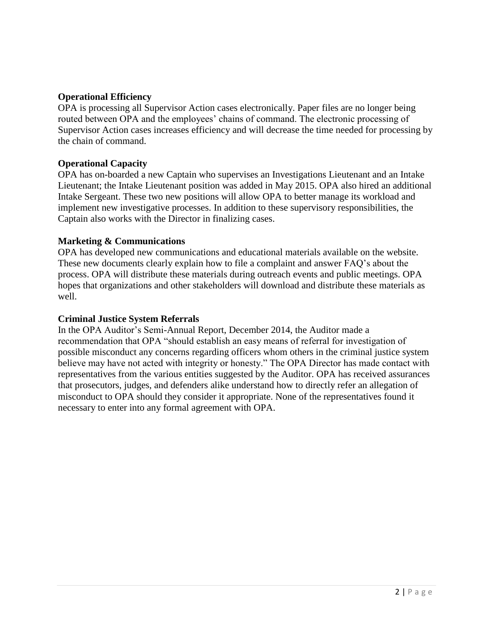## **Operational Efficiency**

OPA is processing all Supervisor Action cases electronically. Paper files are no longer being routed between OPA and the employees' chains of command. The electronic processing of Supervisor Action cases increases efficiency and will decrease the time needed for processing by the chain of command.

#### **Operational Capacity**

OPA has on-boarded a new Captain who supervises an Investigations Lieutenant and an Intake Lieutenant; the Intake Lieutenant position was added in May 2015. OPA also hired an additional Intake Sergeant. These two new positions will allow OPA to better manage its workload and implement new investigative processes. In addition to these supervisory responsibilities, the Captain also works with the Director in finalizing cases.

#### **Marketing & Communications**

OPA has developed new communications and educational materials available on the website. These new documents clearly explain how to file a complaint and answer FAQ's about the process. OPA will distribute these materials during outreach events and public meetings. OPA hopes that organizations and other stakeholders will download and distribute these materials as well.

#### **Criminal Justice System Referrals**

In the OPA Auditor's Semi-Annual Report, December 2014, the Auditor made a recommendation that OPA "should establish an easy means of referral for investigation of possible misconduct any concerns regarding officers whom others in the criminal justice system believe may have not acted with integrity or honesty." The OPA Director has made contact with representatives from the various entities suggested by the Auditor. OPA has received assurances that prosecutors, judges, and defenders alike understand how to directly refer an allegation of misconduct to OPA should they consider it appropriate. None of the representatives found it necessary to enter into any formal agreement with OPA.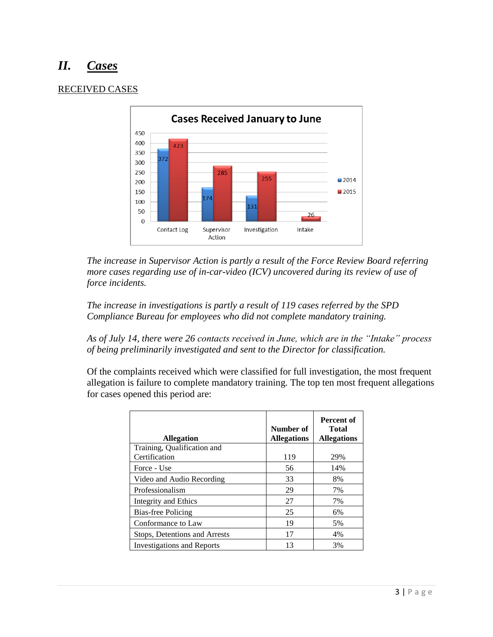# *II. Cases*

## RECEIVED CASES



*The increase in Supervisor Action is partly a result of the Force Review Board referring more cases regarding use of in-car-video (ICV) uncovered during its review of use of force incidents.*

*The increase in investigations is partly a result of 119 cases referred by the SPD Compliance Bureau for employees who did not complete mandatory training.*

*As of July 14, there were 26 contacts received in June, which are in the "Intake" process of being preliminarily investigated and sent to the Director for classification.*

Of the complaints received which were classified for full investigation, the most frequent allegation is failure to complete mandatory training. The top ten most frequent allegations for cases opened this period are:

| <b>Allegation</b>                            | Number of<br><b>Allegations</b> | Percent of<br><b>Total</b><br><b>Allegations</b> |
|----------------------------------------------|---------------------------------|--------------------------------------------------|
| Training, Qualification and<br>Certification | 119                             | 29%                                              |
| Force - Use                                  | 56                              | 14%                                              |
| Video and Audio Recording                    | 33                              | 8%                                               |
| Professionalism                              | 29                              | 7%                                               |
| Integrity and Ethics                         | 27                              | 7%                                               |
| Bias-free Policing                           | 25                              | 6%                                               |
| Conformance to Law                           | 19                              | 5%                                               |
| Stops, Detentions and Arrests                | 17                              | 4%                                               |
| <b>Investigations and Reports</b>            | 13                              | 3%                                               |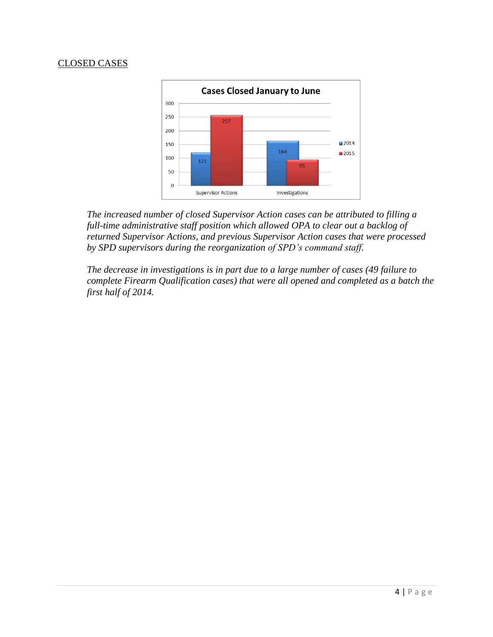#### CLOSED CASES



*The increased number of closed Supervisor Action cases can be attributed to filling a full-time administrative staff position which allowed OPA to clear out a backlog of returned Supervisor Actions, and previous Supervisor Action cases that were processed by SPD supervisors during the reorganization of SPD's command staff.* 

*The decrease in investigations is in part due to a large number of cases (49 failure to complete Firearm Qualification cases) that were all opened and completed as a batch the first half of 2014.*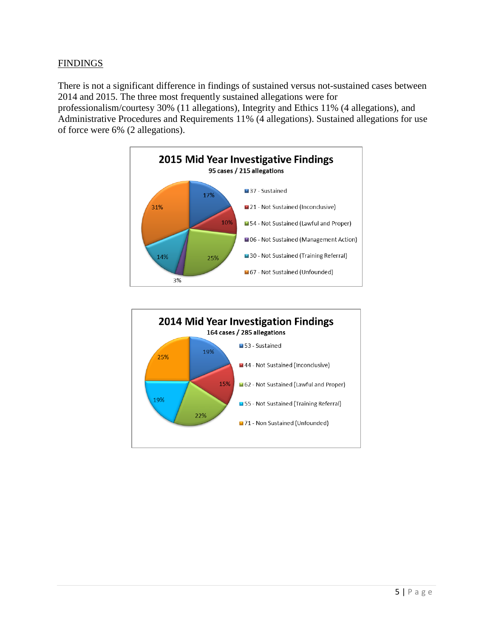## FINDINGS

There is not a significant difference in findings of sustained versus not-sustained cases between 2014 and 2015. The three most frequently sustained allegations were for professionalism/courtesy 30% (11 allegations), Integrity and Ethics 11% (4 allegations), and

Administrative Procedures and Requirements 11% (4 allegations). Sustained allegations for use of force were 6% (2 allegations).



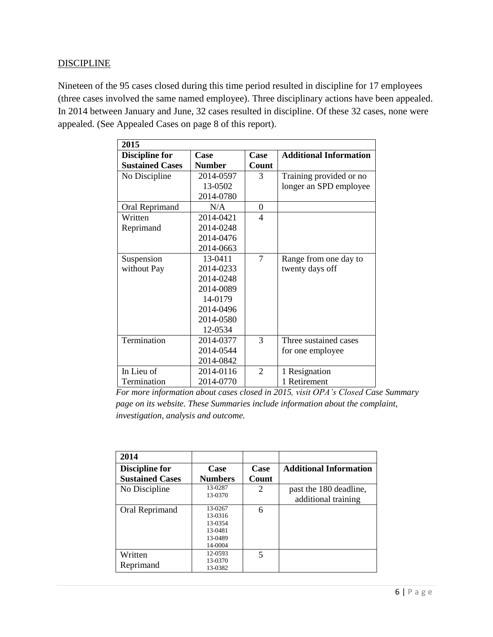## **DISCIPLINE**

Nineteen of the 95 cases closed during this time period resulted in discipline for 17 employees (three cases involved the same named employee). Three disciplinary actions have been appealed. In 2014 between January and June, 32 cases resulted in discipline. Of these 32 cases, none were appealed. (See Appealed Cases on page 8 of this report).

| 2015                   |               |                          |                               |
|------------------------|---------------|--------------------------|-------------------------------|
| <b>Discipline for</b>  | Case          | Case                     | <b>Additional Information</b> |
| <b>Sustained Cases</b> | <b>Number</b> | Count                    |                               |
| No Discipline          | 2014-0597     | 3                        | Training provided or no       |
|                        | 13-0502       |                          | longer an SPD employee        |
|                        | 2014-0780     |                          |                               |
| Oral Reprimand         | N/A           | 0                        |                               |
| Written                | 2014-0421     | $\overline{\mathcal{A}}$ |                               |
| Reprimand              | 2014-0248     |                          |                               |
|                        | 2014-0476     |                          |                               |
|                        | 2014-0663     |                          |                               |
| Suspension             | 13-0411       | $\overline{7}$           | Range from one day to         |
| without Pay            | 2014-0233     |                          | twenty days off               |
|                        | 2014-0248     |                          |                               |
|                        | 2014-0089     |                          |                               |
|                        | 14-0179       |                          |                               |
|                        | 2014-0496     |                          |                               |
|                        | 2014-0580     |                          |                               |
|                        | 12-0534       |                          |                               |
| Termination            | 2014-0377     | 3                        | Three sustained cases         |
|                        | 2014-0544     |                          | for one employee              |
|                        | 2014-0842     |                          |                               |
| In Lieu of             | 2014-0116     | $\overline{2}$           | 1 Resignation                 |
| Termination            | 2014-0770     |                          | 1 Retirement                  |

*For more information about cases closed in 2015, visit OPA's Closed Case Summary page on its website. These Summaries include information about the complaint, investigation, analysis and outcome.*

| 2014                   |                                                                |                          |                                               |
|------------------------|----------------------------------------------------------------|--------------------------|-----------------------------------------------|
| <b>Discipline for</b>  | Case                                                           | Case                     | <b>Additional Information</b>                 |
| <b>Sustained Cases</b> | <b>Numbers</b>                                                 | Count                    |                                               |
| No Discipline          | 13-0287<br>13-0370                                             | 2                        | past the 180 deadline,<br>additional training |
| Oral Reprimand         | 13-0267<br>13-0316<br>13-0354<br>13-0481<br>13-0489<br>14-0004 | 6                        |                                               |
| Written<br>Reprimand   | 12-0593<br>13-0370<br>13-0382                                  | $\overline{\phantom{0}}$ |                                               |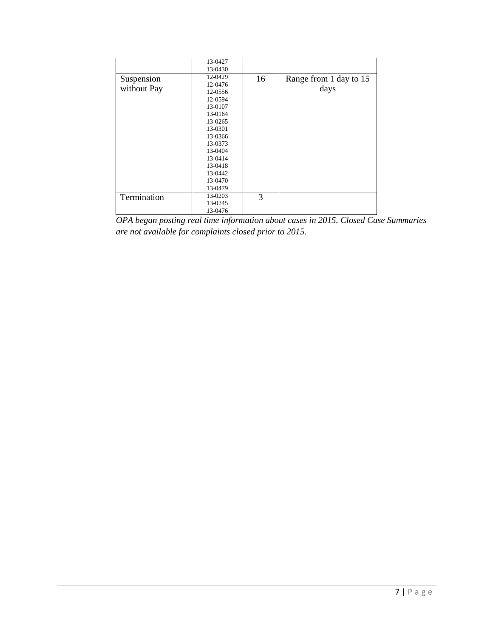|             | 13-0427 |    |                        |
|-------------|---------|----|------------------------|
|             | 13-0430 |    |                        |
| Suspension  | 12-0429 | 16 | Range from 1 day to 15 |
|             | 12-0476 |    |                        |
| without Pay | 12-0556 |    | days                   |
|             | 12-0594 |    |                        |
|             | 13-0107 |    |                        |
|             | 13-0164 |    |                        |
|             | 13-0265 |    |                        |
|             | 13-0301 |    |                        |
|             | 13-0366 |    |                        |
|             | 13-0373 |    |                        |
|             | 13-0404 |    |                        |
|             | 13-0414 |    |                        |
|             | 13-0418 |    |                        |
|             | 13-0442 |    |                        |
|             | 13-0470 |    |                        |
|             | 13-0479 |    |                        |
| Termination | 13-0203 | 3  |                        |
|             | 13-0245 |    |                        |
|             | 13-0476 |    |                        |

*OPA began posting real time information about cases in 2015. Closed Case Summaries are not available for complaints closed prior to 2015.*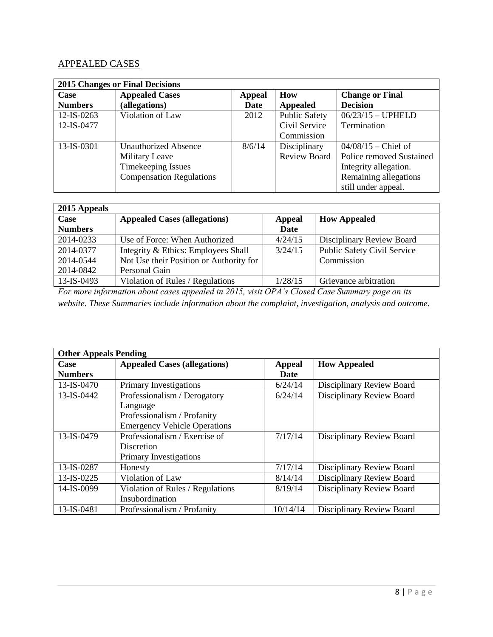# APPEALED CASES

| <b>2015 Changes or Final Decisions</b> |                                 |               |                     |                          |
|----------------------------------------|---------------------------------|---------------|---------------------|--------------------------|
| Case                                   | <b>Appealed Cases</b>           | <b>Appeal</b> | How                 | <b>Change or Final</b>   |
| <b>Numbers</b>                         | (allegations)                   | Date          | Appealed            | <b>Decision</b>          |
| $12$ -IS-0263                          | Violation of Law                | 2012          | Public Safety       | $06/23/15 - UPHELD$      |
| 12-IS-0477                             |                                 |               | Civil Service       | Termination              |
|                                        |                                 |               | Commission          |                          |
| 13-IS-0301                             | <b>Unauthorized Absence</b>     | 8/6/14        | Disciplinary        | $04/08/15$ – Chief of    |
|                                        | <b>Military Leave</b>           |               | <b>Review Board</b> | Police removed Sustained |
|                                        | Timekeeping Issues              |               |                     | Integrity allegation.    |
|                                        | <b>Compensation Regulations</b> |               |                     | Remaining allegations    |
|                                        |                                 |               |                     | still under appeal.      |

| 2015 Appeals   |                                         |               |                             |  |
|----------------|-----------------------------------------|---------------|-----------------------------|--|
| Case           | <b>Appealed Cases (allegations)</b>     | <b>Appeal</b> | <b>How Appealed</b>         |  |
| <b>Numbers</b> |                                         | Date          |                             |  |
| 2014-0233      | Use of Force: When Authorized           | 4/24/15       | Disciplinary Review Board   |  |
| 2014-0377      | Integrity & Ethics: Employees Shall     | 3/24/15       | Public Safety Civil Service |  |
| 2014-0544      | Not Use their Position or Authority for |               | Commission                  |  |
| 2014-0842      | Personal Gain                           |               |                             |  |
| 13-IS-0493     | Violation of Rules / Regulations        | 1/28/15       | Grievance arbitration       |  |

*For more information about cases appealed in 2015, visit OPA's Closed Case Summary page on its website. These Summaries include information about the complaint, investigation, analysis and outcome.*

| <b>Other Appeals Pending</b> |                                     |               |                           |  |  |
|------------------------------|-------------------------------------|---------------|---------------------------|--|--|
| Case                         | <b>Appealed Cases (allegations)</b> | <b>Appeal</b> | <b>How Appealed</b>       |  |  |
| <b>Numbers</b>               |                                     | Date          |                           |  |  |
| 13-IS-0470                   | Primary Investigations              | 6/24/14       | Disciplinary Review Board |  |  |
| 13-IS-0442                   | Professionalism / Derogatory        | 6/24/14       | Disciplinary Review Board |  |  |
|                              | Language                            |               |                           |  |  |
|                              | Professionalism / Profanity         |               |                           |  |  |
|                              | <b>Emergency Vehicle Operations</b> |               |                           |  |  |
| 13-IS-0479                   | Professionalism / Exercise of       | 7/17/14       | Disciplinary Review Board |  |  |
|                              | Discretion                          |               |                           |  |  |
|                              | Primary Investigations              |               |                           |  |  |
| 13-IS-0287                   | Honesty                             | 7/17/14       | Disciplinary Review Board |  |  |
| $13$ -IS-0225                | Violation of Law                    | 8/14/14       | Disciplinary Review Board |  |  |
| 14-IS-0099                   | Violation of Rules / Regulations    | 8/19/14       | Disciplinary Review Board |  |  |
|                              | Insubordination                     |               |                           |  |  |
| 13-IS-0481                   | Professionalism / Profanity         | 10/14/14      | Disciplinary Review Board |  |  |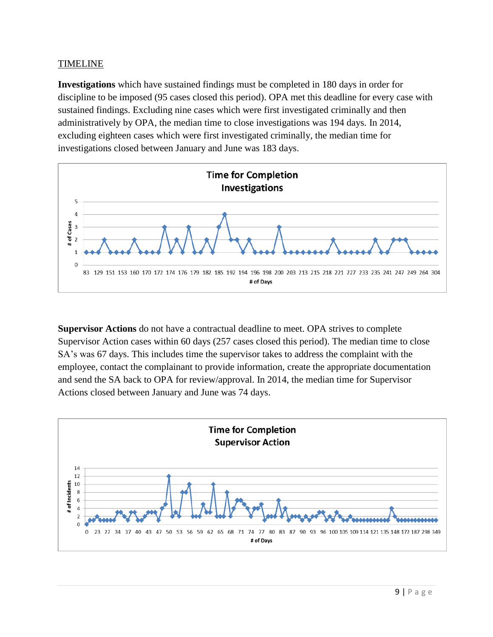## TIMELINE

**Investigations** which have sustained findings must be completed in 180 days in order for discipline to be imposed (95 cases closed this period). OPA met this deadline for every case with sustained findings. Excluding nine cases which were first investigated criminally and then administratively by OPA, the median time to close investigations was 194 days. In 2014, excluding eighteen cases which were first investigated criminally, the median time for investigations closed between January and June was 183 days.



**Supervisor Actions** do not have a contractual deadline to meet. OPA strives to complete Supervisor Action cases within 60 days (257 cases closed this period). The median time to close SA's was 67 days. This includes time the supervisor takes to address the complaint with the employee, contact the complainant to provide information, create the appropriate documentation and send the SA back to OPA for review/approval. In 2014, the median time for Supervisor Actions closed between January and June was 74 days.

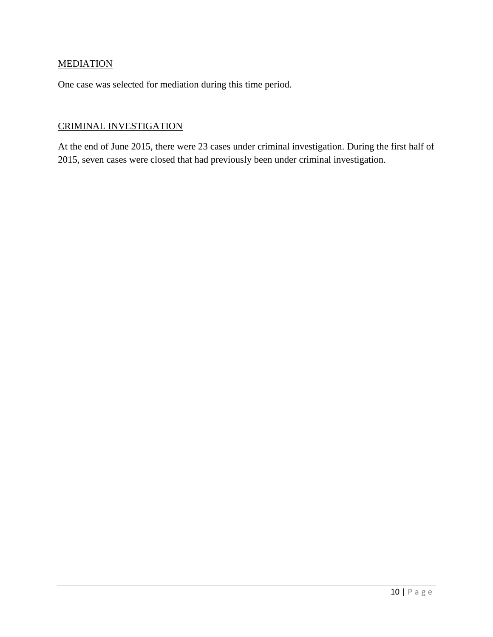# **MEDIATION**

One case was selected for mediation during this time period.

# CRIMINAL INVESTIGATION

At the end of June 2015, there were 23 cases under criminal investigation. During the first half of 2015, seven cases were closed that had previously been under criminal investigation.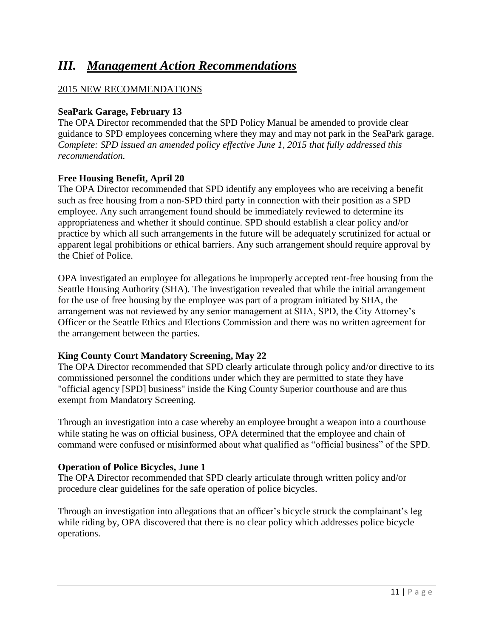# *III. Management Action Recommendations*

# 2015 NEW RECOMMENDATIONS

# **SeaPark Garage, February 13**

The OPA Director recommended that the SPD Policy Manual be amended to provide clear guidance to SPD employees concerning where they may and may not park in the SeaPark garage. *Complete: SPD issued an amended policy effective June 1, 2015 that fully addressed this recommendation.* 

## **Free Housing Benefit, April 20**

The OPA Director recommended that SPD identify any employees who are receiving a benefit such as free housing from a non-SPD third party in connection with their position as a SPD employee. Any such arrangement found should be immediately reviewed to determine its appropriateness and whether it should continue. SPD should establish a clear policy and/or practice by which all such arrangements in the future will be adequately scrutinized for actual or apparent legal prohibitions or ethical barriers. Any such arrangement should require approval by the Chief of Police.

OPA investigated an employee for allegations he improperly accepted rent-free housing from the Seattle Housing Authority (SHA). The investigation revealed that while the initial arrangement for the use of free housing by the employee was part of a program initiated by SHA, the arrangement was not reviewed by any senior management at SHA, SPD, the City Attorney's Officer or the Seattle Ethics and Elections Commission and there was no written agreement for the arrangement between the parties.

## **King County Court Mandatory Screening, May 22**

The OPA Director recommended that SPD clearly articulate through policy and/or directive to its commissioned personnel the conditions under which they are permitted to state they have "official agency [SPD] business" inside the King County Superior courthouse and are thus exempt from Mandatory Screening.

Through an investigation into a case whereby an employee brought a weapon into a courthouse while stating he was on official business, OPA determined that the employee and chain of command were confused or misinformed about what qualified as "official business" of the SPD.

## **Operation of Police Bicycles, June 1**

The OPA Director recommended that SPD clearly articulate through written policy and/or procedure clear guidelines for the safe operation of police bicycles.

Through an investigation into allegations that an officer's bicycle struck the complainant's leg while riding by, OPA discovered that there is no clear policy which addresses police bicycle operations.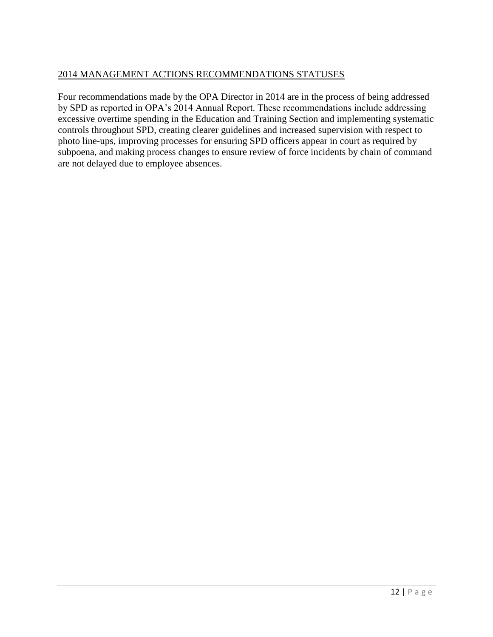# 2014 MANAGEMENT ACTIONS RECOMMENDATIONS STATUSES

Four recommendations made by the OPA Director in 2014 are in the process of being addressed by SPD as reported in OPA's 2014 Annual Report. These recommendations include addressing excessive overtime spending in the Education and Training Section and implementing systematic controls throughout SPD, creating clearer guidelines and increased supervision with respect to photo line-ups, improving processes for ensuring SPD officers appear in court as required by subpoena, and making process changes to ensure review of force incidents by chain of command are not delayed due to employee absences.